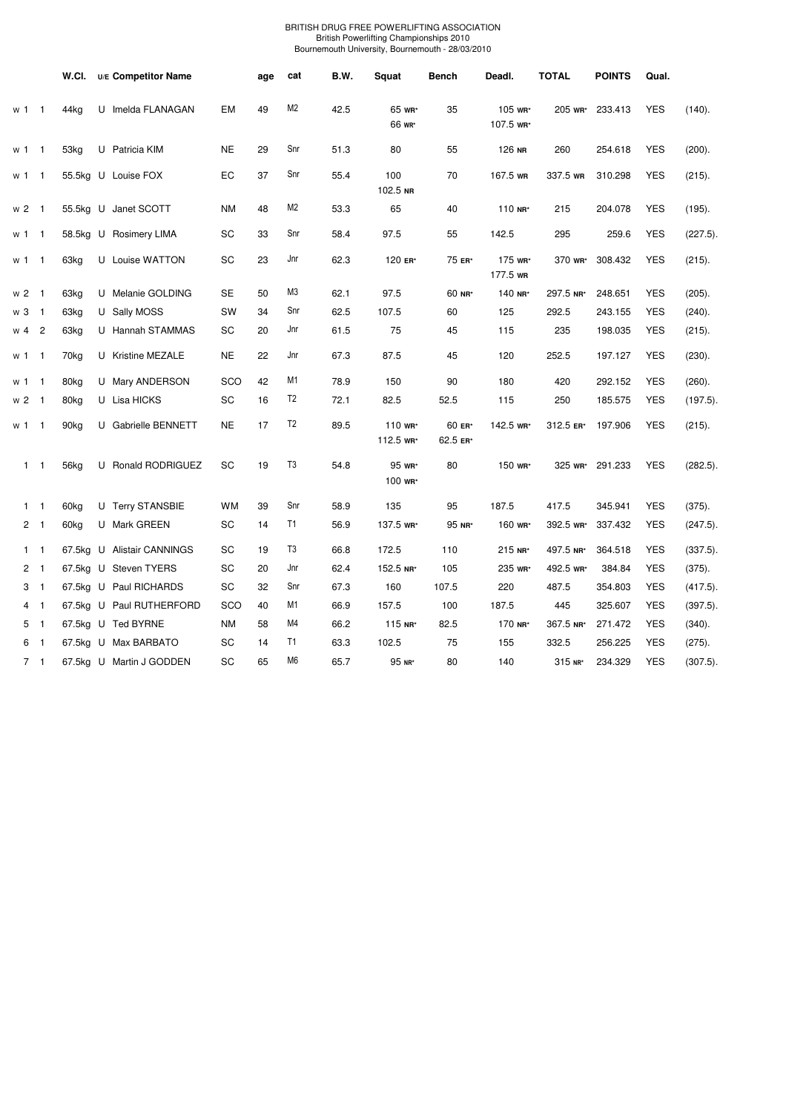## BRITISH DRUG FREE POWERLIFTING ASSOCIATION British Powerlifting Championships 2010 Bournemouth University, Bournemouth - 28/03/2010

|                |                | W.CI.            | U/E Competitor Name        |           | age | cat            | B.W. | Squat                | <b>Bench</b>       | Deadl.               | <b>TOTAL</b> | <b>POINTS</b>   | Qual.      |             |
|----------------|----------------|------------------|----------------------------|-----------|-----|----------------|------|----------------------|--------------------|----------------------|--------------|-----------------|------------|-------------|
| w 1            | $\mathbf 1$    | 44kg             | U Imelda FLANAGAN          | EM        | 49  | M2             | 42.5 | 65 wr*<br>66 wr*     | 35                 | 105 wr*<br>107.5 wr* | 205 WR*      | 233.413         | <b>YES</b> | (140).      |
| w 1            | $\mathbf{1}$   | 53kg             | U Patricia KIM             | <b>NE</b> | 29  | Snr            | 51.3 | 80                   | 55                 | 126 NR               | 260          | 254.618         | <b>YES</b> | (200).      |
| w 1            | $\mathbf{1}$   |                  | 55.5kg U Louise FOX        | EC        | 37  | Snr            | 55.4 | 100<br>102.5 NR      | 70                 | 167.5 WR             | 337.5 WR     | 310.298         | <b>YES</b> | (215).      |
| $w2$ 1         |                |                  | 55.5kg U Janet SCOTT       | <b>NM</b> | 48  | M <sub>2</sub> | 53.3 | 65                   | 40                 | 110 NR*              | 215          | 204.078         | <b>YES</b> | (195).      |
| w 1            | $\mathbf{1}$   |                  | 58.5kg U Rosimery LIMA     | SC        | 33  | Snr            | 58.4 | 97.5                 | 55                 | 142.5                | 295          | 259.6           | <b>YES</b> | (227.5)     |
| w 1            | $\mathbf{1}$   | 63kg             | U Louise WATTON            | SC        | 23  | Jnr            | 62.3 | 120 ER*              | 75 ER*             | 175 wR*<br>177.5 wR  | 370 wr*      | 308.432         | <b>YES</b> | $(215)$ .   |
| w <sub>2</sub> | $\mathbf{1}$   | 63kg             | U Melanie GOLDING          | <b>SE</b> | 50  | M3             | 62.1 | 97.5                 | 60 NR*             | 140 NR*              | 297.5 NR*    | 248.651         | <b>YES</b> | (205).      |
| w <sub>3</sub> | $\mathbf{1}$   | 63kg             | U Sally MOSS               | SW        | 34  | Snr            | 62.5 | 107.5                | 60                 | 125                  | 292.5        | 243.155         | <b>YES</b> | (240).      |
| w <sub>4</sub> | $\overline{2}$ | 63kg             | U Hannah STAMMAS           | SC        | 20  | Jnr            | 61.5 | 75                   | 45                 | 115                  | 235          | 198.035         | <b>YES</b> | (215).      |
| w 1            | $\mathbf{1}$   | 70 <sub>kg</sub> | U Kristine MEZALE          | <b>NE</b> | 22  | Jnr            | 67.3 | 87.5                 | 45                 | 120                  | 252.5        | 197.127         | <b>YES</b> | (230).      |
| w 1            | $\mathbf{1}$   | 80kg             | U Mary ANDERSON            | SCO       | 42  | M1             | 78.9 | 150                  | 90                 | 180                  | 420          | 292.152         | <b>YES</b> | (260).      |
| w <sub>2</sub> | $\mathbf{1}$   | 80kg             | U Lisa HICKS               | SC        | 16  | T <sub>2</sub> | 72.1 | 82.5                 | 52.5               | 115                  | 250          | 185.575         | <b>YES</b> | (197.5).    |
| w 1            | $\mathbf 1$    | 90kg             | U Gabrielle BENNETT        | <b>NE</b> | 17  | T <sub>2</sub> | 89.5 | 110 WR*<br>112.5 WR* | 60 ER*<br>62.5 ER* | 142.5 WR*            | 312.5 ER*    | 197.906         | <b>YES</b> | (215).      |
| $1 \quad 1$    |                | 56kg             | U Ronald RODRIGUEZ         | SC        | 19  | T <sub>3</sub> | 54.8 | 95 wR*<br>100 wR*    | 80                 | 150 wr*              |              | 325 wr* 291.233 | <b>YES</b> | $(282.5)$ . |
| $\mathbf{1}$   | $\mathbf{1}$   | 60kg             | U Terry STANSBIE           | <b>WM</b> | 39  | Snr            | 58.9 | 135                  | 95                 | 187.5                | 417.5        | 345.941         | <b>YES</b> | $(375)$ .   |
| 2 <sub>1</sub> |                | 60kg             | U Mark GREEN               | SC        | 14  | T1             | 56.9 | 137.5 wR*            | 95 NR*             | 160 wr*              | 392.5 WR*    | 337.432         | <b>YES</b> | $(247.5)$ . |
| $\mathbf{1}$   | $\mathbf{1}$   |                  | 67.5kg U Alistair CANNINGS | SC        | 19  | T3             | 66.8 | 172.5                | 110                | 215 NR*              | 497.5 NR*    | 364.518         | <b>YES</b> | (337.5)     |
| $\overline{c}$ | $\overline{1}$ |                  | 67.5kg U Steven TYERS      | SC        | 20  | Jnr            | 62.4 | 152.5 NR*            | 105                | 235 wr*              | 492.5 WR*    | 384.84          | <b>YES</b> | $(375)$ .   |
| 3              | $\overline{1}$ |                  | 67.5kg U Paul RICHARDS     | SC        | 32  | Snr            | 67.3 | 160                  | 107.5              | 220                  | 487.5        | 354.803         | <b>YES</b> | $(417.5)$ . |
| 4              | $\mathbf{1}$   |                  | 67.5kg U Paul RUTHERFORD   | SCO       | 40  | M1             | 66.9 | 157.5                | 100                | 187.5                | 445          | 325.607         | <b>YES</b> | $(397.5)$ . |
| 5              | $\overline{1}$ |                  | 67.5kg U Ted BYRNE         | <b>NM</b> | 58  | M4             | 66.2 | 115 NR*              | 82.5               | 170 NR*              | 367.5 NR*    | 271.472         | <b>YES</b> | (340).      |
| 6              | $\mathbf{1}$   |                  | 67.5kg U Max BARBATO       | SC        | 14  | T <sub>1</sub> | 63.3 | 102.5                | 75                 | 155                  | 332.5        | 256.225         | <b>YES</b> | (275).      |
| 7 <sub>1</sub> |                |                  | 67.5kg U Martin J GODDEN   | SC        | 65  | M <sub>6</sub> | 65.7 | 95 NR*               | 80                 | 140                  | 315 NR*      | 234.329         | <b>YES</b> | $(307.5)$ . |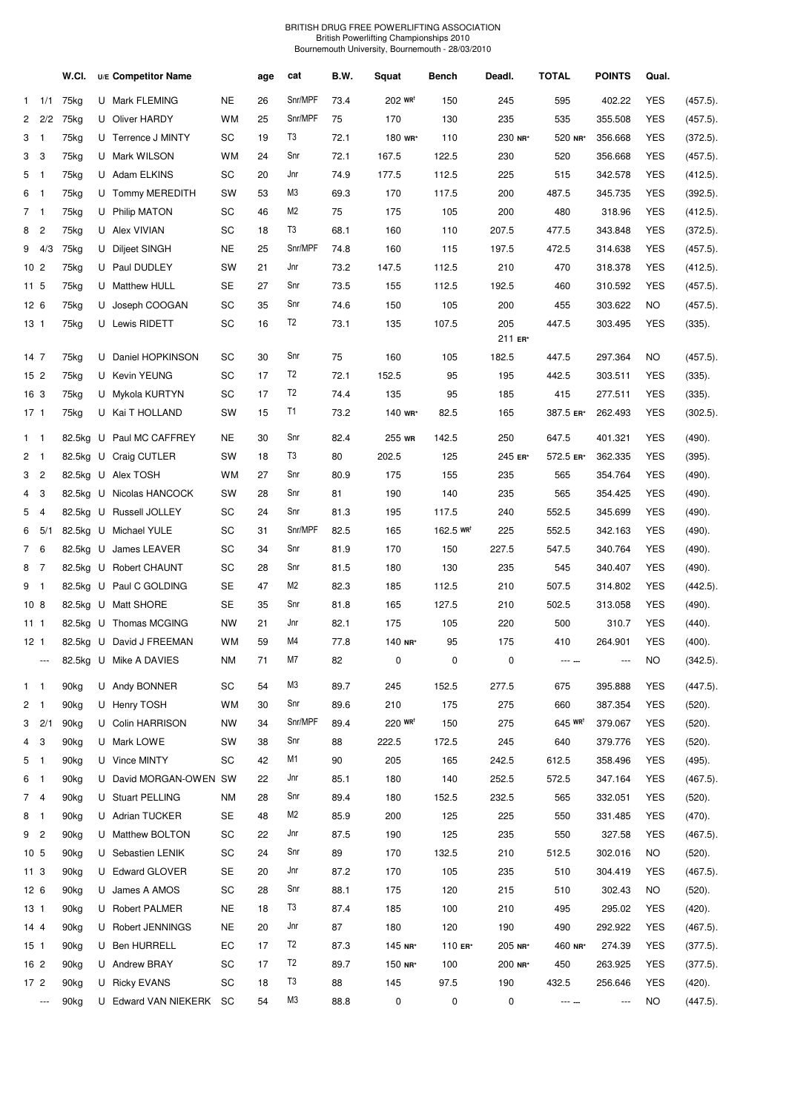## BRITISH DRUG FREE POWERLIFTING ASSOCIATION British Powerlifting Championships 2010 Bournemouth University, Bournemouth - 28/03/2010

|                 |                            | W.CI.            | U/E Competitor Name      |           | age  | cat            | B.W. | Squat                 | Bench                                 | Deadl.         | <b>TOTAL</b>          | <b>POINTS</b> | Qual.      |             |
|-----------------|----------------------------|------------------|--------------------------|-----------|------|----------------|------|-----------------------|---------------------------------------|----------------|-----------------------|---------------|------------|-------------|
|                 | $1 \quad 1/1$              | 75kg             | U Mark FLEMING           | <b>NE</b> | 26   | Snr/MPF        | 73.4 | $202$ WR <sup>t</sup> | 150                                   | 245            | 595                   | 402.22        | <b>YES</b> | $(457.5)$ . |
|                 | $2 \quad 2/2$              | 75kg             | U Oliver HARDY           | <b>WM</b> | 25   | Snr/MPF        | 75   | 170                   | 130                                   | 235            | 535                   | 355.508       | <b>YES</b> | $(457.5)$ . |
| 3               | $\overline{1}$             | 75kg             | U Terrence J MINTY       | SC        | 19   | T3             | 72.1 | 180 wr*               | 110                                   | 230 NR*        | 520 NR*               | 356.668       | <b>YES</b> | $(372.5)$ . |
| 3               | 3                          | 75kg             | U Mark WILSON            | <b>WM</b> | 24   | Snr            | 72.1 | 167.5                 | 122.5                                 | 230            | 520                   | 356.668       | <b>YES</b> | $(457.5)$ . |
| 5               | $\overline{\phantom{1}}$   | 75kg             | U Adam ELKINS            | SC        | 20   | Jnr            | 74.9 | 177.5                 | 112.5                                 | 225            | 515                   | 342.578       | <b>YES</b> | (412.5).    |
| 6               | $\overline{\phantom{0}}$ 1 | 75kg             | U Tommy MEREDITH         | SW        | 53   | M3             | 69.3 | 170                   | 117.5                                 | 200            | 487.5                 | 345.735       | <b>YES</b> | $(392.5)$ . |
| 7 <sub>1</sub>  |                            | 75kg             | U Philip MATON           | SC        | 46   | M2             | 75   | 175                   | 105                                   | 200            | 480                   | 318.96        | <b>YES</b> | (412.5).    |
| 8               | $\overline{c}$             | 75kg             | U Alex VIVIAN            | SC        | 18   | T3             | 68.1 | 160                   | 110                                   | 207.5          | 477.5                 | 343.848       | <b>YES</b> | $(372.5)$ . |
|                 | $9 \quad 4/3$              | 75kg             | U Diljeet SINGH          | <b>NE</b> | 25   | Snr/MPF        | 74.8 | 160                   | 115                                   | 197.5          | 472.5                 | 314.638       | <b>YES</b> | $(457.5)$ . |
| 10 <sub>2</sub> |                            | 75kg             | U Paul DUDLEY            | SW        | 21   | Jnr            | 73.2 | 147.5                 | 112.5                                 | 210            | 470                   | 318.378       | <b>YES</b> | (412.5).    |
| 11 <sub>5</sub> |                            | 75kg             | U Matthew HULL           | <b>SE</b> | 27   | Snr            | 73.5 | 155                   | 112.5                                 | 192.5          | 460                   | 310.592       | <b>YES</b> | $(457.5)$ . |
| 12 <sub>6</sub> |                            | 75kg             | U Joseph COOGAN          | SC        | 35   | Snr            | 74.6 | 150                   | 105                                   | 200            | 455                   | 303.622       | NO.        | $(457.5)$ . |
| 13 <sub>1</sub> |                            | 75kg             | U Lewis RIDETT           | SC        | 16   | T <sub>2</sub> | 73.1 | 135                   | 107.5                                 | 205<br>211 ER* | 447.5                 | 303.495       | <b>YES</b> | (335).      |
| 14 7            |                            | 75kg             | U Daniel HOPKINSON       | SC        | 30   | Snr            | 75   | 160                   | 105                                   | 182.5          | 447.5                 | 297.364       | NO.        | (457.5).    |
| 15 <sub>2</sub> |                            | 75kg             | U Kevin YEUNG            | SC        | 17   | T <sub>2</sub> | 72.1 | 152.5                 | 95                                    | 195            | 442.5                 | 303.511       | <b>YES</b> | (335).      |
| 16 3            |                            | 75kg             | U Mykola KURTYN          | SC        | 17   | T <sub>2</sub> | 74.4 | 135                   | 95                                    | 185            | 415                   | 277.511       | <b>YES</b> | $(335)$ .   |
| $17-1$          |                            | 75kg             | U Kai T HOLLAND          | SW        | 15   | T1             | 73.2 | 140 WR*               | 82.5                                  | 165            | 387.5 ER*             | 262.493       | <b>YES</b> | $(302.5)$ . |
| $1 \quad 1$     |                            |                  | 82.5kg U Paul MC CAFFREY | NE        | 30   | Snr            | 82.4 | 255 WR                | 142.5                                 | 250            | 647.5                 | 401.321       | <b>YES</b> | (490).      |
| 2 <sub>1</sub>  |                            |                  | 82.5kg U Craig CUTLER    | SW        | 18   | T3             | 80   | 202.5                 | 125                                   | 245 ER*        | 572.5 ER*             | 362.335       | <b>YES</b> | (395).      |
| 3               | $\overline{2}$             |                  | 82.5kg U Alex TOSH       | <b>WM</b> | 27   | Snr            | 80.9 | 175                   | 155                                   | 235            | 565                   | 354.764       | <b>YES</b> | (490).      |
| 4               | 3                          |                  | 82.5kg U Nicolas HANCOCK | SW        | 28   | Snr            | 81   | 190                   | 140                                   | 235            | 565                   | 354.425       | <b>YES</b> | (490).      |
| 5               | $\overline{4}$             |                  | 82.5kg U Russell JOLLEY  | SC        | 24   | Snr            | 81.3 | 195                   | 117.5                                 | 240            | 552.5                 | 345.699       | <b>YES</b> | (490).      |
| 6               | 5/1                        |                  | 82.5kg U Michael YULE    | SC        | 31   | Snr/MPF        | 82.5 | 165                   | $162.5 \text{ W} \text{R}^{\text{T}}$ | 225            | 552.5                 | 342.163       | <b>YES</b> | (490).      |
| $7^{\circ}$     | 6                          |                  | 82.5kg U James LEAVER    | SC        | 34   | Snr            | 81.9 | 170                   | 150                                   | 227.5          | 547.5                 | 340.764       | YES        | (490).      |
| 8 7             |                            |                  | 82.5kg U Robert CHAUNT   | SC        | 28   | Snr            | 81.5 | 180                   | 130                                   | 235            | 545                   | 340.407       | <b>YES</b> | (490).      |
| 9 <sub>1</sub>  |                            |                  | 82.5kg U Paul C GOLDING  | <b>SE</b> | 47   | M2             | 82.3 | 185                   | 112.5                                 | 210            | 507.5                 | 314.802       | <b>YES</b> | $(442.5)$ . |
| 10 <sub>8</sub> |                            |                  | 82.5kg U Matt SHORE      | <b>SE</b> | 35   | Snr            | 81.8 | 165                   | 127.5                                 | 210            | 502.5                 | 313.058       | <b>YES</b> | (490).      |
| 11 <sub>1</sub> |                            |                  | 82.5kg U Thomas MCGING   | <b>NW</b> | 21   | Jnr            | 82.1 | 175                   | 105                                   | 220            | 500                   | 310.7         | <b>YES</b> | (440).      |
| 12 <sub>1</sub> |                            |                  | 82.5kg U David J FREEMAN | <b>WM</b> | 59   | M4             | 77.8 | 140 NR*               | 95                                    | 175            | 410                   | 264.901       | <b>YES</b> | (400).      |
|                 |                            |                  | 82.5kg U Mike A DAVIES   | <b>NM</b> | $71$ | M7             | 82   | 0                     | 0                                     | 0              |                       | ---           | <b>NO</b>  | (342.5).    |
| $1 \quad 1$     |                            | 90 <sub>kg</sub> | U Andy BONNER            | SC        | 54   | M3             | 89.7 | 245                   | 152.5                                 | 277.5          | 675                   | 395.888       | <b>YES</b> | (447.5).    |
| 2 <sub>1</sub>  |                            | 90 <sub>kg</sub> | U Henry TOSH             | <b>WM</b> | 30   | Snr            | 89.6 | 210                   | 175                                   | 275            | 660                   | 387.354       | <b>YES</b> | $(520)$ .   |
|                 | $3 \quad 2/1$              | 90 <sub>kg</sub> | U Colin HARRISON         | NW        | 34   | Snr/MPF        | 89.4 | 220 WR <sup>t</sup>   | 150                                   | 275            | $645$ WR <sup>T</sup> | 379.067       | <b>YES</b> | $(520)$ .   |
| 4               | 3                          | 90 <sub>kg</sub> | U Mark LOWE              | SW        | 38   | Snr            | 88   | 222.5                 | 172.5                                 | 245            | 640                   | 379.776       | <b>YES</b> | (520).      |
| 5               | $\overline{\phantom{1}}$   | 90 <sub>kg</sub> | U Vince MINTY            | SC        | 42   | M1             | 90   | 205                   | 165                                   | 242.5          | 612.5                 | 358.496       | <b>YES</b> | $(495)$ .   |
| 6 1             |                            | 90kg             | U David MORGAN-OWEN SW   |           | 22   | Jnr            | 85.1 | 180                   | 140                                   | 252.5          | 572.5                 | 347.164       | <b>YES</b> | $(467.5)$ . |
| 7 4             |                            | 90 <sub>kg</sub> | U Stuart PELLING         | ΝM        | 28   | Snr            | 89.4 | 180                   | 152.5                                 | 232.5          | 565                   | 332.051       | <b>YES</b> | (520).      |
| 8               | $\overline{1}$             | 90 <sub>kg</sub> | U Adrian TUCKER          | <b>SE</b> | 48   | M2             | 85.9 | 200                   | 125                                   | 225            | 550                   | 331.485       | <b>YES</b> | $(470)$ .   |
| 9               | $\overline{c}$             | 90kg             | U Matthew BOLTON         | SC        | 22   | Jnr            | 87.5 | 190                   | 125                                   | 235            | 550                   | 327.58        | YES        | (467.5).    |
| 10 <sub>5</sub> |                            | 90 <sub>kg</sub> | U Sebastien LENIK        | SC        | 24   | Snr            | 89   | 170                   | 132.5                                 | 210            | 512.5                 | 302.016       | NO.        | $(520)$ .   |
| 11 <sub>3</sub> |                            | 90 <sub>kg</sub> | U Edward GLOVER          | <b>SE</b> | 20   | Jnr            | 87.2 | 170                   | 105                                   | 235            | 510                   | 304.419       | <b>YES</b> | $(467.5)$ . |
| 126             |                            | 90 <sub>kg</sub> | U James A AMOS           | SC        | 28   | Snr            | 88.1 | 175                   | 120                                   | 215            | 510                   | 302.43        | NO.        | $(520)$ .   |
| 13 <sub>1</sub> |                            | 90 <sub>kg</sub> | U Robert PALMER          | NE        | 18   | T3             | 87.4 | 185                   | 100                                   | 210            | 495                   | 295.02        | <b>YES</b> | $(420)$ .   |
| 144             |                            | 90 <sub>kg</sub> | U Robert JENNINGS        | <b>NE</b> | 20   | Jnr            | 87   | 180                   | 120                                   | 190            | 490                   | 292.922       | <b>YES</b> | (467.5).    |
| 15 <sub>1</sub> |                            | 90 <sub>kg</sub> | U Ben HURRELL            | EC        | 17   | T <sub>2</sub> | 87.3 | 145 NR*               | 110 ER*                               | 205 NR*        | 460 NR*               | 274.39        | YES        | (377.5).    |
| 16 2            |                            | 90 <sub>kg</sub> | U Andrew BRAY            | SC        | 17   | T <sub>2</sub> | 89.7 | 150 NR*               | 100                                   | 200 NR*        | 450                   | 263.925       | YES        | (377.5).    |
| 17 <sub>2</sub> |                            | 90 <sub>kg</sub> | U Ricky EVANS            | SC        | 18   | T3             | 88   | 145                   | 97.5                                  | 190            | 432.5                 | 256.646       | <b>YES</b> | $(420)$ .   |
|                 | $\cdots$                   | 90kg             | U Edward VAN NIEKERK SC  |           | 54   | M3             | 88.8 | 0                     | 0                                     | 0              | --- --                | ---           | NO.        | (447.5).    |